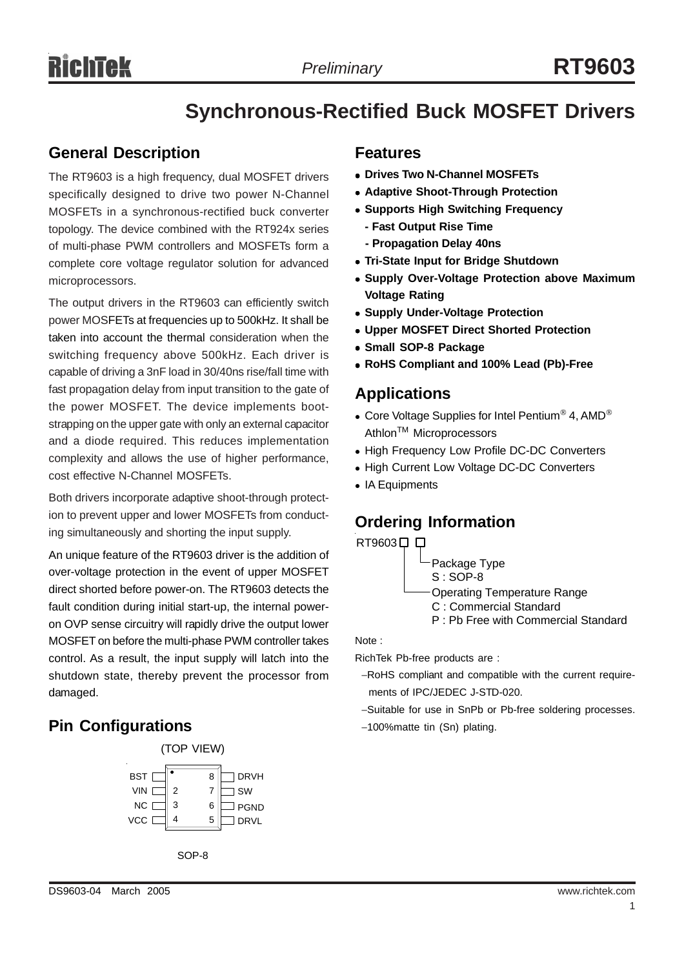# **Synchronous-Rectified Buck MOSFET Drivers**

### **General Description**

The RT9603 is a high frequency, dual MOSFET drivers specifically designed to drive two power N-Channel MOSFETs in a synchronous-rectified buck converter topology. The device combined with the RT924x series of multi-phase PWM controllers and MOSFETs form a complete core voltage regulator solution for advanced microprocessors.

The output drivers in the RT9603 can efficiently switch power MOSFETs at frequencies up to 500kHz. It shall be taken into account the thermal consideration when the switching frequency above 500kHz. Each driver is capable of driving a 3nF load in 30/40ns rise/fall time with fast propagation delay from input transition to the gate of the power MOSFET. The device implements bootstrapping on the upper gate with only an external capacitor and a diode required. This reduces implementation complexity and allows the use of higher performance, cost effective N-Channel MOSFETs.

Both drivers incorporate adaptive shoot-through protection to prevent upper and lower MOSFETs from conducting simultaneously and shorting the input supply.

An unique feature of the RT9603 driver is the addition of over-voltage protection in the event of upper MOSFET direct shorted before power-on. The RT9603 detects the fault condition during initial start-up, the internal poweron OVP sense circuitry will rapidly drive the output lower MOSFET on before the multi-phase PWM controller takes control. As a result, the input supply will latch into the shutdown state, thereby prevent the processor from damaged.

### **Pin Configurations**



SOP-8

#### **Features**

- **Drives Two N-Channel MOSFETs**
- **Adaptive Shoot-Through Protection**
- **Supports High Switching Frequency** 
	- **Fast Output Rise Time - Propagation Delay 40ns**
- **Tri-State Input for Bridge Shutdown**
- **Supply Over-Voltage Protection above Maximum Voltage Rating**
- **Supply Under-Voltage Protection**
- <sup>z</sup> **Upper MOSFET Direct Shorted Protection**
- **Small SOP-8 Package**
- <sup>z</sup> **RoHS Compliant and 100% Lead (Pb)-Free**

### **Applications**

- Core Voltage Supplies for Intel Pentium® 4, AMD® Athlon<sup>™</sup> Microprocessors
- High Frequency Low Profile DC-DC Converters
- High Current Low Voltage DC-DC Converters
- IA Equipments

### **Ordering Information**

RT9603<sup> $\Box$ </sup>

Package Type

S : SOP-8

Operating Temperature Range

- C : Commercial Standard
- P : Pb Free with Commercial Standard

Note :

RichTek Pb-free products are :

- −RoHS compliant and compatible with the current require ments of IPC/JEDEC J-STD-020.
- −Suitable for use in SnPb or Pb-free soldering processes.
- −100%matte tin (Sn) plating.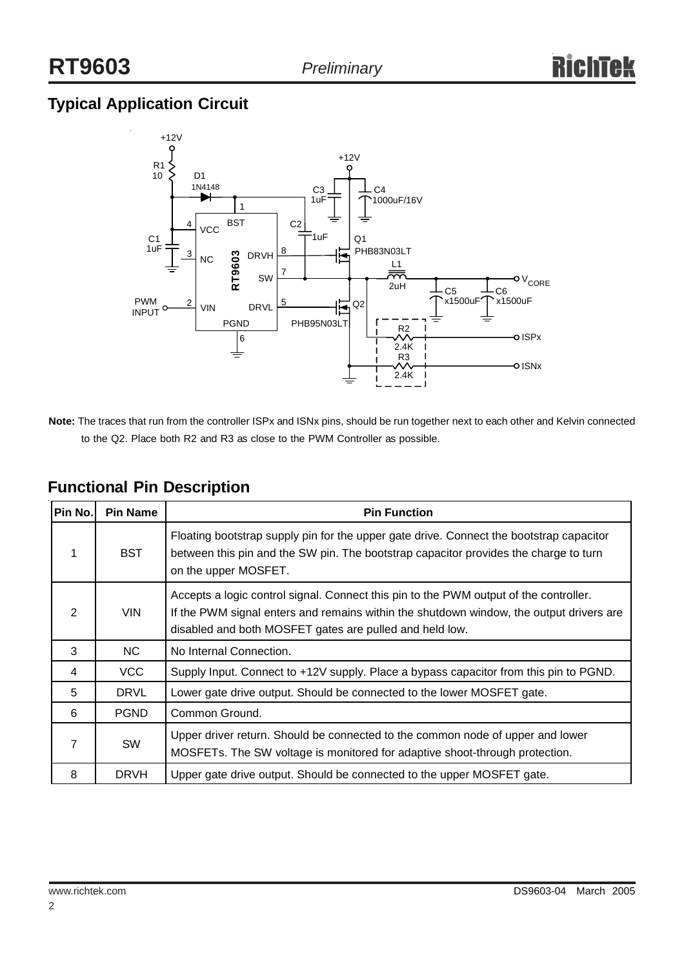## **Typical Application Circuit**



**Note:** The traces that run from the controller ISPx and ISNx pins, should be run together next to each other and Kelvin connected to the Q2. Place both R2 and R3 as close to the PWM Controller as possible.

| Pin No.       | <b>Pin Name</b> | <b>Pin Function</b>                                                                                                                                                                                                                         |  |  |  |  |
|---------------|-----------------|---------------------------------------------------------------------------------------------------------------------------------------------------------------------------------------------------------------------------------------------|--|--|--|--|
| 1             | <b>BST</b>      | Floating bootstrap supply pin for the upper gate drive. Connect the bootstrap capacitor<br>between this pin and the SW pin. The bootstrap capacitor provides the charge to turn<br>on the upper MOSFET.                                     |  |  |  |  |
| $\mathcal{P}$ | <b>VIN</b>      | Accepts a logic control signal. Connect this pin to the PWM output of the controller.<br>If the PWM signal enters and remains within the shutdown window, the output drivers are<br>disabled and both MOSFET gates are pulled and held low. |  |  |  |  |
| 3             | NC.             | No Internal Connection.                                                                                                                                                                                                                     |  |  |  |  |
| 4             | <b>VCC</b>      | Supply Input. Connect to +12V supply. Place a bypass capacitor from this pin to PGND.                                                                                                                                                       |  |  |  |  |
| 5             | <b>DRVL</b>     | Lower gate drive output. Should be connected to the lower MOSFET gate.                                                                                                                                                                      |  |  |  |  |
| 6             | <b>PGND</b>     | Common Ground.                                                                                                                                                                                                                              |  |  |  |  |
| 7             | SW              | Upper driver return. Should be connected to the common node of upper and lower<br>MOSFETs. The SW voltage is monitored for adaptive shoot-through protection.                                                                               |  |  |  |  |
| 8             | <b>DRVH</b>     | Upper gate drive output. Should be connected to the upper MOSFET gate.                                                                                                                                                                      |  |  |  |  |

## **Functional Pin Description**

2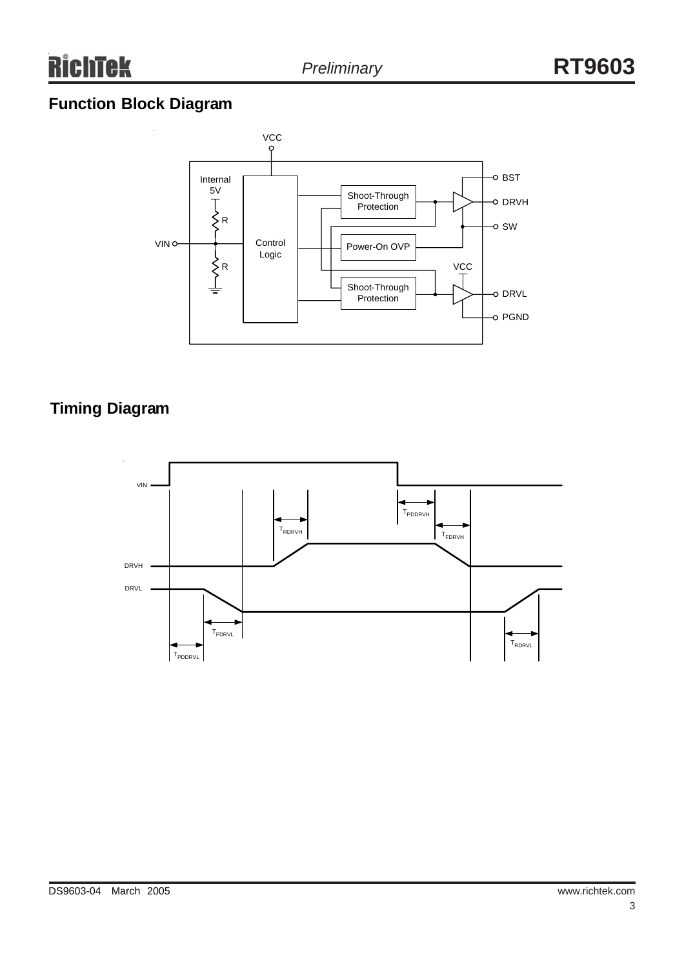## **Function Block Diagram**



## **Timing Diagram**

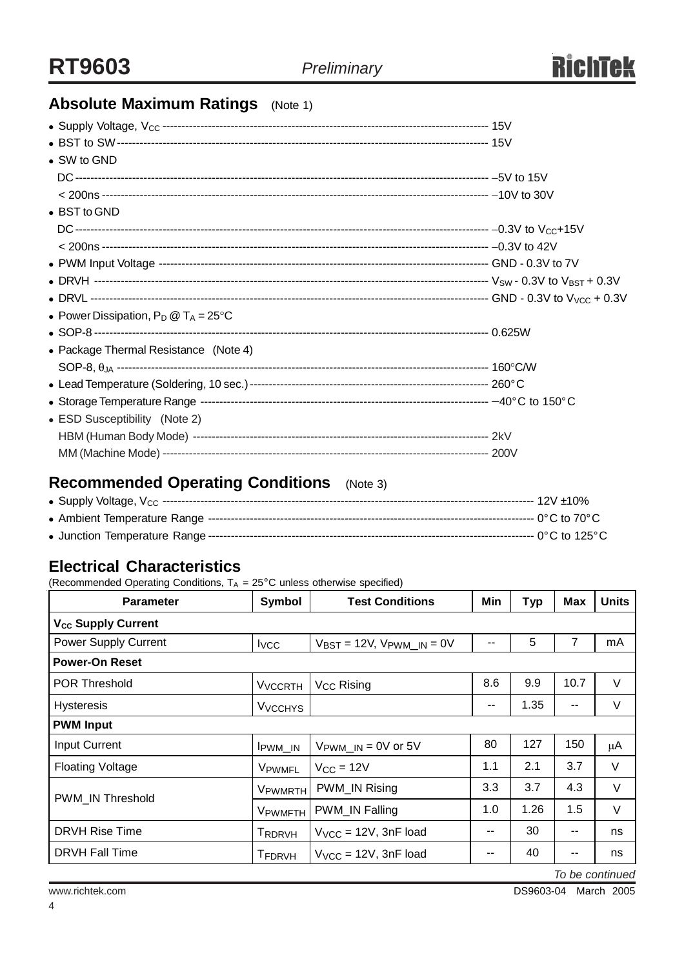

## **Absolute Maximum Ratings** (Note 1)

| • SW to GND                                    |  |
|------------------------------------------------|--|
|                                                |  |
|                                                |  |
| $\bullet$ BST to GND                           |  |
|                                                |  |
|                                                |  |
|                                                |  |
|                                                |  |
|                                                |  |
| • Power Dissipation, $P_D @ T_A = 25^{\circ}C$ |  |
|                                                |  |
| • Package Thermal Resistance (Note 4)          |  |
|                                                |  |
|                                                |  |
|                                                |  |
| • ESD Susceptibility (Note 2)                  |  |
|                                                |  |
|                                                |  |

## **Recommended Operating Conditions** (Note 3)

### **Electrical Characteristics**

(Recommended Operating Conditions,  $T_A = 25^{\circ}$ C unless otherwise specified)

| <b>Parameter</b>               | Symbol                    | <b>Test Conditions</b>                             | Min | <b>Typ</b> | <b>Max</b>    | <b>Units</b> |  |  |
|--------------------------------|---------------------------|----------------------------------------------------|-----|------------|---------------|--------------|--|--|
| V <sub>cc</sub> Supply Current |                           |                                                    |     |            |               |              |  |  |
| Power Supply Current           | <b>I</b> vcc              | $V_{\text{BST}} = 12V$ , $V_{\text{PWM\_IN}} = 0V$ | --  | 5          | 7             | mA           |  |  |
| <b>Power-On Reset</b>          |                           |                                                    |     |            |               |              |  |  |
| <b>POR Threshold</b>           | <b>V<sub>VCCRTH</sub></b> | V <sub>CC</sub> Rising                             | 8.6 | 9.9        | 10.7          | $\vee$       |  |  |
| <b>Hysteresis</b>              | <b>V<sub>VCCHYS</sub></b> |                                                    | --  | 1.35       | $\sim$ $\sim$ | $\vee$       |  |  |
| <b>PWM Input</b>               |                           |                                                    |     |            |               |              |  |  |
| <b>Input Current</b>           | IPWM_IN                   | $V_{\text{PWM\_IN}} = 0V$ or 5V                    | 80  | 127        | 150           | μA           |  |  |
| <b>Floating Voltage</b>        | VPWMFL                    | $V_{CC} = 12V$                                     | 1.1 | 2.1        | 3.7           | V            |  |  |
| PWM_IN Threshold               | V <sub>PWMRTH</sub>       | PWM_IN Rising                                      | 3.3 | 3.7        | 4.3           | V            |  |  |
|                                | VPWMFTH                   | PWM_IN Falling                                     | 1.0 | 1.26       | 1.5           | $\vee$       |  |  |
| <b>DRVH Rise Time</b>          | TRDRVH                    | $V_{VCC}$ = 12V, 3nF load                          |     | 30         | $- -$         | ns           |  |  |
| <b>DRVH Fall Time</b>          | <b>TFDRVH</b>             | $V_{VCC}$ = 12V, 3nF load                          | --  | 40         | --            | ns           |  |  |

*To be continued*

www.richtek.com DS9603-04 March 2005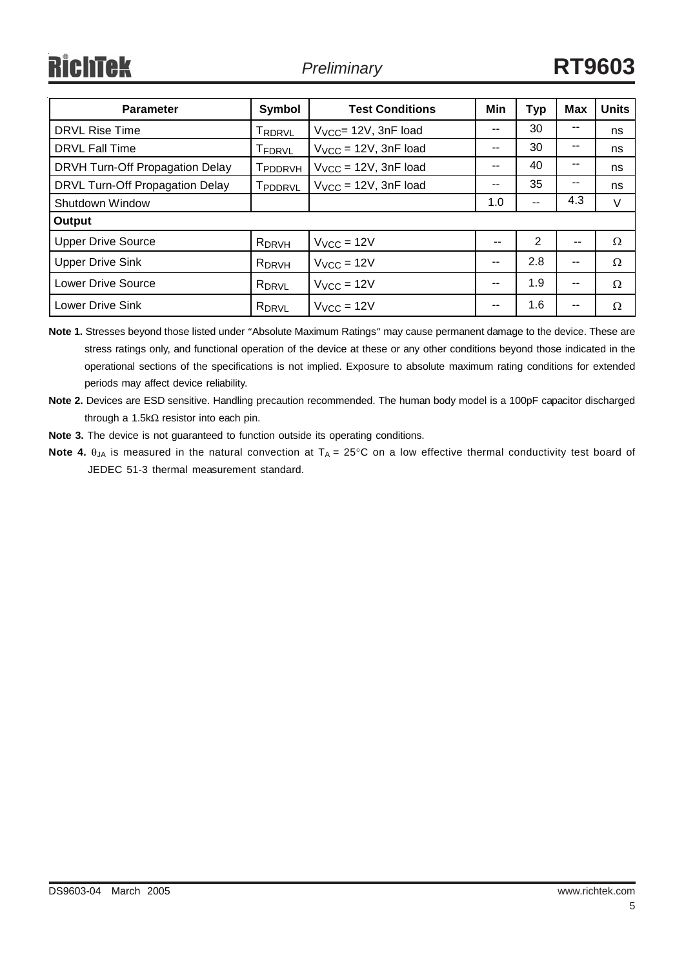| <b>Parameter</b>                | Symbol              | <b>Test Conditions</b>    | <b>Min</b> | <b>Typ</b>               | <b>Max</b> | <b>Units</b> |  |
|---------------------------------|---------------------|---------------------------|------------|--------------------------|------------|--------------|--|
| <b>DRVL Rise Time</b>           | TRDRVL              | $V_{VCC}$ = 12V, 3nF load | $- -$      | 30                       | --         | ns           |  |
| <b>DRVL Fall Time</b>           | T <sub>FDRVL</sub>  | $V_{VCC}$ = 12V, 3nF load |            | 30                       | --         | ns           |  |
| DRVH Turn-Off Propagation Delay | T <sub>PDDRVH</sub> | $V_{VCC}$ = 12V, 3nF load | $- -$      | 40                       | --         | ns           |  |
| DRVL Turn-Off Propagation Delay | Tpddrvl             | $V_{VCC}$ = 12V, 3nF load | $- -$      | 35                       | --         | ns           |  |
| Shutdown Window                 |                     |                           | 1.0        | $\overline{\phantom{a}}$ | 4.3        | V            |  |
| Output                          |                     |                           |            |                          |            |              |  |
| <b>Upper Drive Source</b>       | R <sub>DRVH</sub>   | $VVCC = 12V$              | --         | $\overline{2}$           | --         | Ω            |  |
| <b>Upper Drive Sink</b>         | R <sub>DRVH</sub>   | $V_{VCC} = 12V$           |            | 2.8                      | --         | Ω            |  |
| <b>Lower Drive Source</b>       | R <sub>DRVL</sub>   | $VVCC = 12V$              | $-$        | 1.9                      | --         | Ω            |  |
| <b>Lower Drive Sink</b>         | R <sub>DRVL</sub>   | $V_{VCC} = 12V$           | $- -$      | 1.6                      | --         | Ω            |  |

**Note 1.** Stresses beyond those listed under "Absolute Maximum Ratings" may cause permanent damage to the device. These are stress ratings only, and functional operation of the device at these or any other conditions beyond those indicated in the operational sections of the specifications is not implied. Exposure to absolute maximum rating conditions for extended periods may affect device reliability.

- **Note 2.** Devices are ESD sensitive. Handling precaution recommended. The human body model is a 100pF capacitor discharged through a 1.5kΩ resistor into each pin.
- **Note 3.** The device is not guaranteed to function outside its operating conditions.
- **Note 4.**  $\theta_{JA}$  is measured in the natural convection at  $T_A = 25^{\circ}C$  on a low effective thermal conductivity test board of JEDEC 51-3 thermal measurement standard.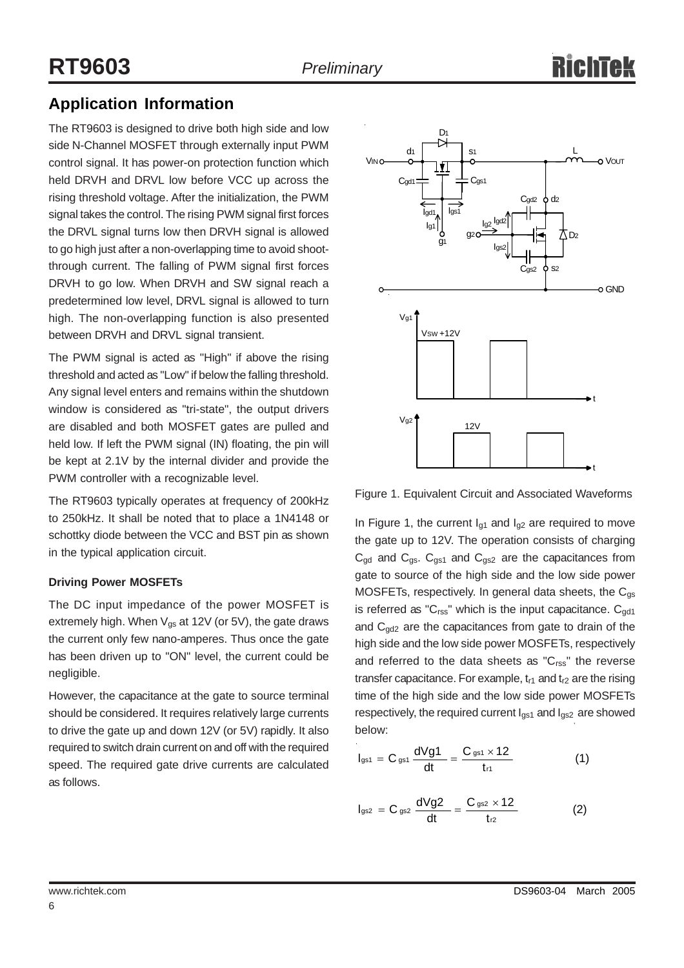## **Application Information**

The RT9603 is designed to drive both high side and low side N-Channel MOSFET through externally input PWM control signal. It has power-on protection function which held DRVH and DRVL low before VCC up across the rising threshold voltage. After the initialization, the PWM signal takes the control. The rising PWM signal first forces the DRVL signal turns low then DRVH signal is allowed to go high just after a non-overlapping time to avoid shootthrough current. The falling of PWM signal first forces DRVH to go low. When DRVH and SW signal reach a predetermined low level, DRVL signal is allowed to turn high. The non-overlapping function is also presented between DRVH and DRVL signal transient.

The PWM signal is acted as "High" if above the rising threshold and acted as "Low" if below the falling threshold. Any signal level enters and remains within the shutdown window is considered as "tri-state", the output drivers are disabled and both MOSFET gates are pulled and held low. If left the PWM signal (IN) floating, the pin will be kept at 2.1V by the internal divider and provide the PWM controller with a recognizable level.

The RT9603 typically operates at frequency of 200kHz to 250kHz. It shall be noted that to place a 1N4148 or schottky diode between the VCC and BST pin as shown in the typical application circuit.

#### **Driving Power MOSFETs**

The DC input impedance of the power MOSFET is extremely high. When  $V_{gs}$  at 12V (or 5V), the gate draws the current only few nano-amperes. Thus once the gate has been driven up to "ON" level, the current could be negligible.

However, the capacitance at the gate to source terminal should be considered. It requires relatively large currents to drive the gate up and down 12V (or 5V) rapidly. It also required to switch drain current on and off with the required speed. The required gate drive currents are calculated as follows.



Figure 1. Equivalent Circuit and Associated Waveforms

In Figure 1, the current  $I_{q1}$  and  $I_{q2}$  are required to move the gate up to 12V. The operation consists of charging  $C_{gd}$  and  $C_{gs}$ .  $C_{gs1}$  and  $C_{gs2}$  are the capacitances from gate to source of the high side and the low side power MOSFETs, respectively. In general data sheets, the  $C_{qs}$ is referred as " $C_{\text{rss}}$ " which is the input capacitance.  $C_{\text{qd1}}$ and  $C_{gd2}$  are the capacitances from gate to drain of the high side and the low side power MOSFETs, respectively and referred to the data sheets as " $C_{\rm rss}$ " the reverse transfer capacitance. For example,  $t_{r1}$  and  $t_{r2}$  are the rising time of the high side and the low side power MOSFETs respectively, the required current  $I_{gs1}$  and  $I_{gs2}$  are showed below:

$$
I_{gs1} = C_{gs1} \frac{dVg1}{dt} = \frac{C_{gs1} \times 12}{t_{r1}}
$$
 (1)

$$
I_{gs2} = C_{gs2} \frac{dVg2}{dt} = \frac{C_{gs2} \times 12}{t_{r2}}
$$
 (2)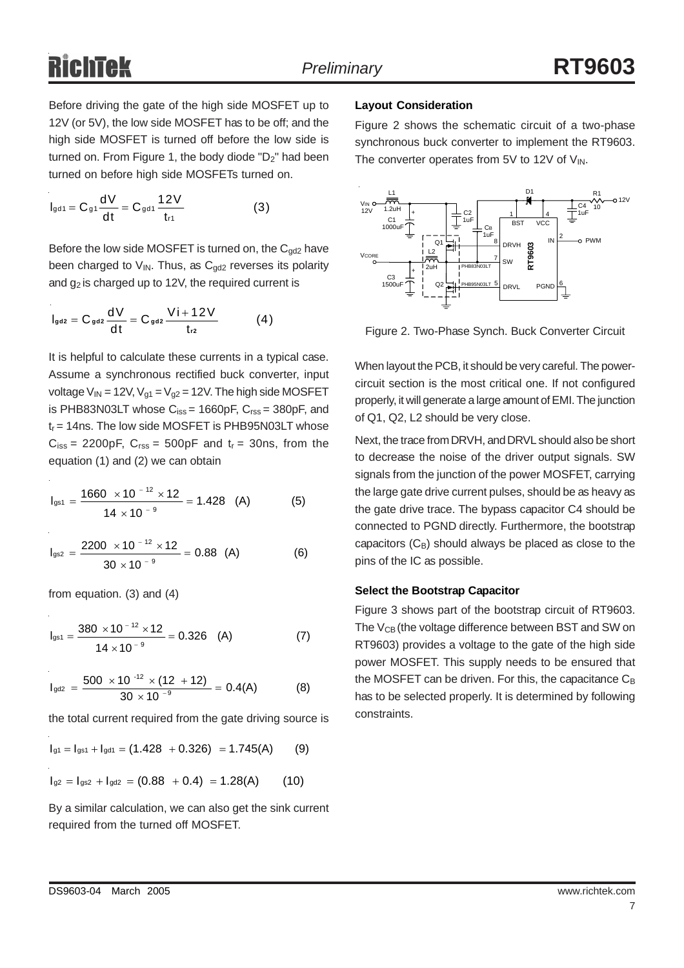Before driving the gate of the high side MOSFET up to 12V (or 5V), the low side MOSFET has to be off; and the high side MOSFET is turned off before the low side is turned on. From Figure 1, the body diode "D<sub>2</sub>" had been turned on before high side MOSFETs turned on.

$$
I_{gd1} = C_{g1} \frac{dV}{dt} = C_{gd1} \frac{12V}{t_{r1}}
$$
 (3)

Before the low side MOSFET is turned on, the  $C_{gd2}$  have been charged to  $V_{IN}$ . Thus, as  $C_{gd2}$  reverses its polarity and  $g_2$  is charged up to 12V, the required current is

$$
I_{\text{gd2}} = C_{\text{gd2}} \frac{dV}{dt} = C_{\text{gd2}} \frac{V i + 12V}{t_{r2}} \tag{4}
$$

It is helpful to calculate these currents in a typical case. Assume a synchronous rectified buck converter, input voltage  $V_{IN}$  = 12V,  $V_{q1}$  =  $V_{q2}$  = 12V. The high side MOSFET is PHB83N03LT whose  $C_{iss} = 1660pF$ ,  $C_{rss} = 380pF$ , and  $t_r$  = 14ns. The low side MOSFET is PHB95N03LT whose  $C_{iss}$  = 2200pF,  $C_{rss}$  = 500pF and  $t_r$  = 30ns, from the equation (1) and (2) we can obtain

$$
I_{gs1} = \frac{1660 \times 10^{-12} \times 12}{14 \times 10^{-9}} = 1.428 \quad (A)
$$
 (5)

$$
I_{gs2} = \frac{2200 \times 10^{-12} \times 12}{30 \times 10^{-9}} = 0.88 \text{ (A)}
$$
 (6)

from equation. (3) and (4)

$$
I_{gs1} = \frac{380 \times 10^{-12} \times 12}{14 \times 10^{-9}} = 0.326
$$
 (A) (7)

$$
I_{\text{gd2}} = \frac{500 \times 10^{-12} \times (12 + 12)}{30 \times 10^{-9}} = 0.4(A) \tag{8}
$$

the total current required from the gate driving source is

$$
I_{g1}=I_{gs1}+I_{gd1}=(1.428\ +0.326)\ =1.745(A)\qquad (9)
$$

$$
I_{g2} = I_{gs2} + I_{gd2} = (0.88 + 0.4) = 1.28(A)
$$
 (10)

By a similar calculation, we can also get the sink current required from the turned off MOSFET.

#### **Layout Consideration**

Figure 2 shows the schematic circuit of a two-phase synchronous buck converter to implement the RT9603. The converter operates from 5V to 12V of  $V_{IN}$ .



Figure 2. Two-Phase Synch. Buck Converter Circuit

When layout the PCB, it should be very careful. The powercircuit section is the most critical one. If not configured properly, it will generate a large amount of EMI. The junction of Q1, Q2, L2 should be very close.

Next, the trace from DRVH, and DRVL should also be short to decrease the noise of the driver output signals. SW signals from the junction of the power MOSFET, carrying the large gate drive current pulses, should be as heavy as the gate drive trace. The bypass capacitor C4 should be connected to PGND directly. Furthermore, the bootstrap capacitors  $(C_B)$  should always be placed as close to the pins of the IC as possible.

#### **Select the Bootstrap Capacitor**

Figure 3 shows part of the bootstrap circuit of RT9603. The  $V_{CB}$  (the voltage difference between BST and SW on RT9603) provides a voltage to the gate of the high side power MOSFET. This supply needs to be ensured that the MOSFET can be driven. For this, the capacitance  $C_B$ has to be selected properly. It is determined by following constraints.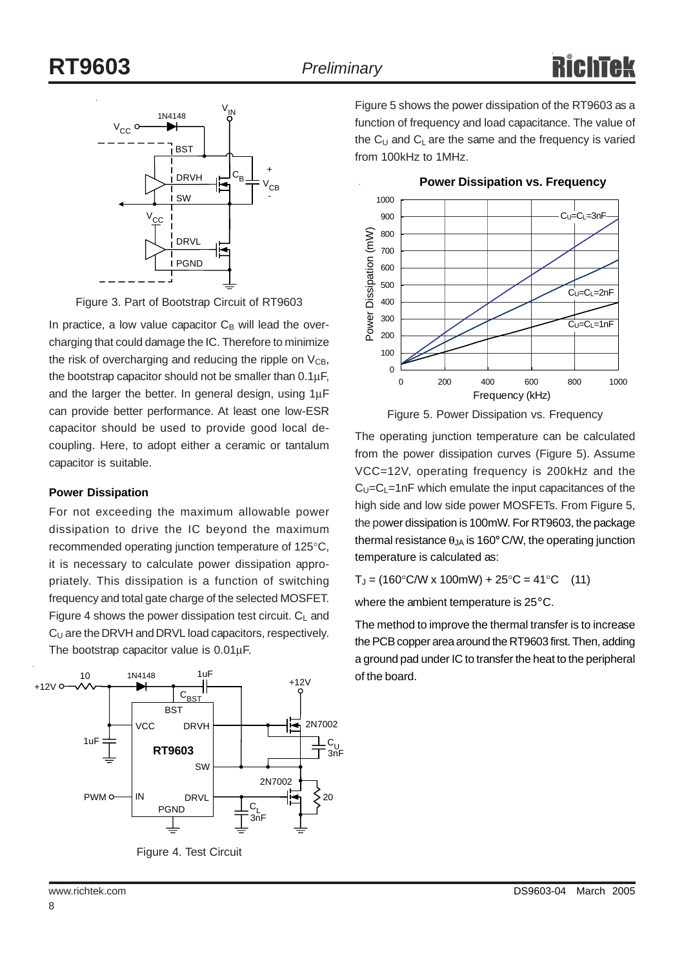

Figure 3. Part of Bootstrap Circuit of RT9603

In practice, a low value capacitor  $C_B$  will lead the overcharging that could damage the IC. Therefore to minimize the risk of overcharging and reducing the ripple on  $V_{CB}$ , the bootstrap capacitor should not be smaller than 0.1µF, and the larger the better. In general design, using 1µF can provide better performance. At least one low-ESR capacitor should be used to provide good local decoupling. Here, to adopt either a ceramic or tantalum capacitor is suitable.

#### **Power Dissipation**

For not exceeding the maximum allowable power dissipation to drive the IC beyond the maximum recommended operating junction temperature of 125°C, it is necessary to calculate power dissipation appropriately. This dissipation is a function of switching frequency and total gate charge of the selected MOSFET. Figure 4 shows the power dissipation test circuit.  $C_1$  and C<sub>U</sub> are the DRVH and DRVL load capacitors, respectively. The bootstrap capacitor value is 0.01µF.



Figure 4. Test Circuit

Figure 5 shows the power dissipation of the RT9603 as a function of frequency and load capacitance. The value of the  $C_U$  and  $C_L$  are the same and the frequency is varied from 100kHz to 1MHz.

**Power Dissipation vs. Frequency**



Figure 5. Power Dissipation vs. Frequency

The operating junction temperature can be calculated from the power dissipation curves (Figure 5). Assume VCC=12V, operating frequency is 200kHz and the  $C_U=C_L=1nF$  which emulate the input capacitances of the high side and low side power MOSFETs. From Figure 5, the power dissipation is 100mW. For RT9603, the package thermal resistance  $\theta_{JA}$  is 160° C/W, the operating junction temperature is calculated as:

 $T_J = (160^{\circ}$ C/W x 100mW) + 25 $^{\circ}$ C = 41 $^{\circ}$ C (11)

where the ambient temperature is 25°C.

The method to improve the thermal transfer is to increase the PCB copper area around the RT9603 first. Then, adding a ground pad under IC to transfer the heat to the peripheral of the board.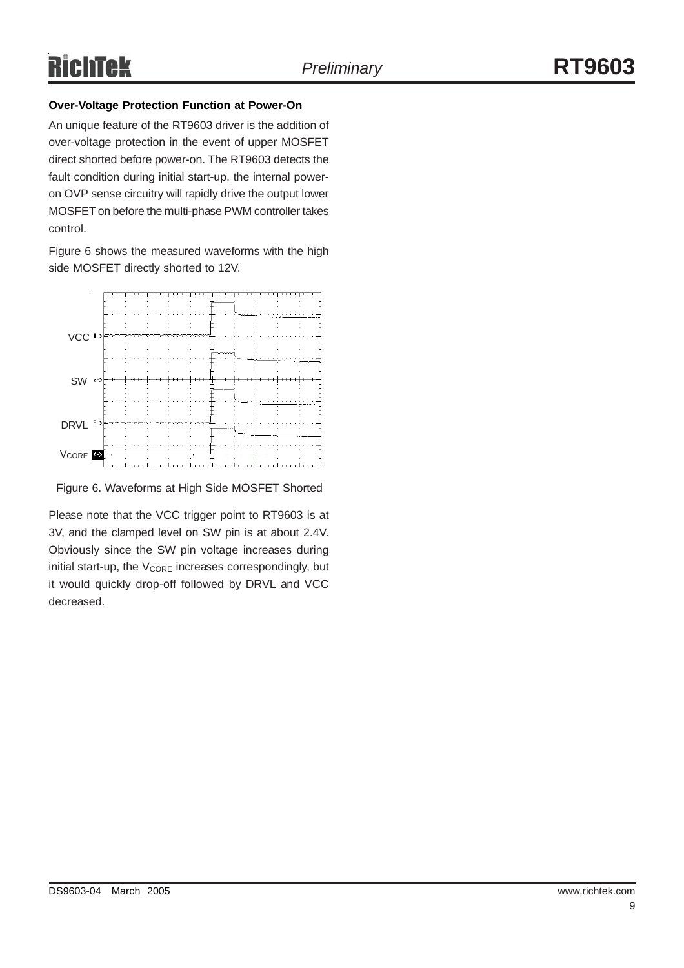#### **Over-Voltage Protection Function at Power-On**

An unique feature of the RT9603 driver is the addition of over-voltage protection in the event of upper MOSFET direct shorted before power-on. The RT9603 detects the fault condition during initial start-up, the internal poweron OVP sense circuitry will rapidly drive the output lower MOSFET on before the multi-phase PWM controller takes control.

Figure 6 shows the measured waveforms with the high side MOSFET directly shorted to 12V.



Figure 6. Waveforms at High Side MOSFET Shorted

Please note that the VCC trigger point to RT9603 is at 3V, and the clamped level on SW pin is at about 2.4V. Obviously since the SW pin voltage increases during initial start-up, the  $V_{\text{CORE}}$  increases correspondingly, but it would quickly drop-off followed by DRVL and VCC decreased.